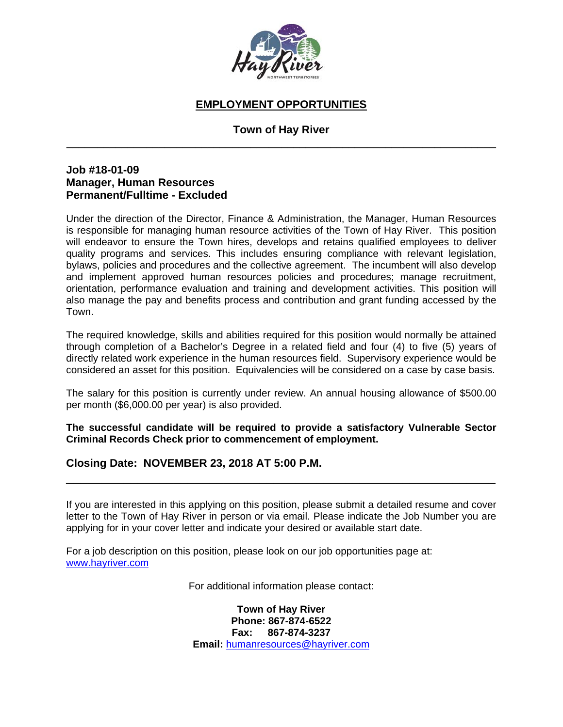

### **EMPLOYMENT OPPORTUNITIES**

### **Town of Hay River**  \_\_\_\_\_\_\_\_\_\_\_\_\_\_\_\_\_\_\_\_\_\_\_\_\_\_\_\_\_\_\_\_\_\_\_\_\_\_\_\_\_\_\_\_\_\_\_\_\_\_\_\_\_\_\_\_\_\_\_\_\_\_\_\_\_\_\_\_\_\_

### **Job #18-01-09 Manager, Human Resources Permanent/Fulltime - Excluded**

Under the direction of the Director, Finance & Administration, the Manager, Human Resources is responsible for managing human resource activities of the Town of Hay River. This position will endeavor to ensure the Town hires, develops and retains qualified employees to deliver quality programs and services. This includes ensuring compliance with relevant legislation, bylaws, policies and procedures and the collective agreement. The incumbent will also develop and implement approved human resources policies and procedures; manage recruitment, orientation, performance evaluation and training and development activities. This position will also manage the pay and benefits process and contribution and grant funding accessed by the Town.

The required knowledge, skills and abilities required for this position would normally be attained through completion of a Bachelor's Degree in a related field and four (4) to five (5) years of directly related work experience in the human resources field. Supervisory experience would be considered an asset for this position. Equivalencies will be considered on a case by case basis.

The salary for this position is currently under review. An annual housing allowance of \$500.00 per month (\$6,000.00 per year) is also provided.

**The successful candidate will be required to provide a satisfactory Vulnerable Sector Criminal Records Check prior to commencement of employment.**

### **Closing Date: NOVEMBER 23, 2018 AT 5:00 P.M.**

If you are interested in this applying on this position, please submit a detailed resume and cover letter to the Town of Hay River in person or via email. Please indicate the Job Number you are applying for in your cover letter and indicate your desired or available start date.

\_\_\_\_\_\_\_\_\_\_\_\_\_\_\_\_\_\_\_\_\_\_\_\_\_\_\_\_\_\_\_\_\_\_\_\_\_\_\_\_\_\_\_\_\_\_\_\_\_\_\_\_\_\_\_\_\_\_\_\_

For a job description on this position, please look on our job opportunities page at: www.hayriver.com

For additional information please contact:

**Town of Hay River Phone: 867-874-6522 Fax: 867-874-3237 Email:** humanresources@hayriver.com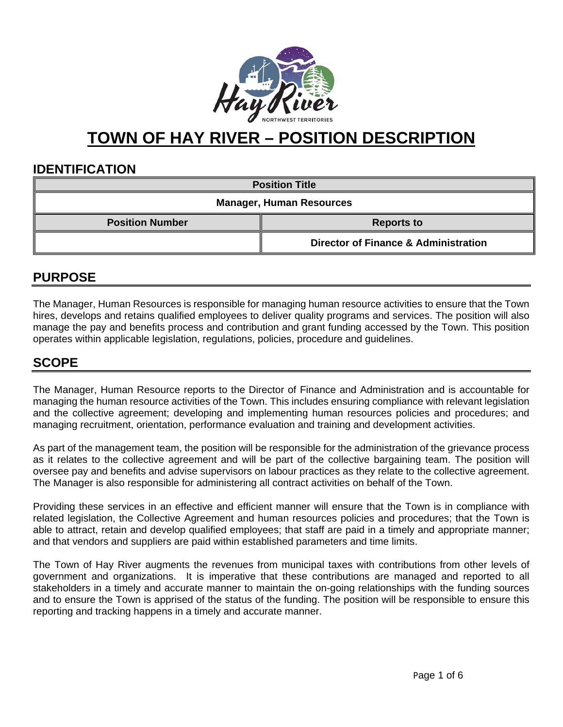

# **TOWN OF HAY RIVER – POSITION DESCRIPTION**

### **IDENTIFICATION**

| <b>Position Title</b>           |                                                 |  |
|---------------------------------|-------------------------------------------------|--|
| <b>Manager, Human Resources</b> |                                                 |  |
| <b>Position Number</b>          | <b>Reports to</b>                               |  |
|                                 | <b>Director of Finance &amp; Administration</b> |  |

# **PURPOSE**

The Manager, Human Resources is responsible for managing human resource activities to ensure that the Town hires, develops and retains qualified employees to deliver quality programs and services. The position will also manage the pay and benefits process and contribution and grant funding accessed by the Town. This position operates within applicable legislation, regulations, policies, procedure and guidelines.

### **SCOPE**

The Manager, Human Resource reports to the Director of Finance and Administration and is accountable for managing the human resource activities of the Town. This includes ensuring compliance with relevant legislation and the collective agreement; developing and implementing human resources policies and procedures; and managing recruitment, orientation, performance evaluation and training and development activities.

As part of the management team, the position will be responsible for the administration of the grievance process as it relates to the collective agreement and will be part of the collective bargaining team. The position will oversee pay and benefits and advise supervisors on labour practices as they relate to the collective agreement. The Manager is also responsible for administering all contract activities on behalf of the Town.

Providing these services in an effective and efficient manner will ensure that the Town is in compliance with related legislation, the Collective Agreement and human resources policies and procedures; that the Town is able to attract, retain and develop qualified employees; that staff are paid in a timely and appropriate manner; and that vendors and suppliers are paid within established parameters and time limits.

The Town of Hay River augments the revenues from municipal taxes with contributions from other levels of government and organizations. It is imperative that these contributions are managed and reported to all stakeholders in a timely and accurate manner to maintain the on-going relationships with the funding sources and to ensure the Town is apprised of the status of the funding. The position will be responsible to ensure this reporting and tracking happens in a timely and accurate manner.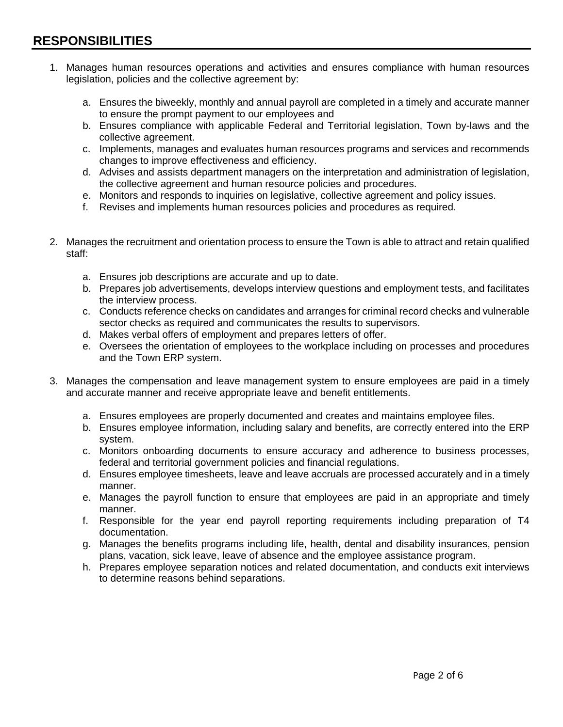- 1. Manages human resources operations and activities and ensures compliance with human resources legislation, policies and the collective agreement by:
	- a. Ensures the biweekly, monthly and annual payroll are completed in a timely and accurate manner to ensure the prompt payment to our employees and
	- b. Ensures compliance with applicable Federal and Territorial legislation, Town by-laws and the collective agreement.
	- c. Implements, manages and evaluates human resources programs and services and recommends changes to improve effectiveness and efficiency.
	- d. Advises and assists department managers on the interpretation and administration of legislation, the collective agreement and human resource policies and procedures.
	- e. Monitors and responds to inquiries on legislative, collective agreement and policy issues.
	- f. Revises and implements human resources policies and procedures as required.
- 2. Manages the recruitment and orientation process to ensure the Town is able to attract and retain qualified staff:
	- a. Ensures job descriptions are accurate and up to date.
	- b. Prepares job advertisements, develops interview questions and employment tests, and facilitates the interview process.
	- c. Conducts reference checks on candidates and arranges for criminal record checks and vulnerable sector checks as required and communicates the results to supervisors.
	- d. Makes verbal offers of employment and prepares letters of offer.
	- e. Oversees the orientation of employees to the workplace including on processes and procedures and the Town ERP system.
- 3. Manages the compensation and leave management system to ensure employees are paid in a timely and accurate manner and receive appropriate leave and benefit entitlements.
	- a. Ensures employees are properly documented and creates and maintains employee files.
	- b. Ensures employee information, including salary and benefits, are correctly entered into the ERP system.
	- c. Monitors onboarding documents to ensure accuracy and adherence to business processes, federal and territorial government policies and financial regulations.
	- d. Ensures employee timesheets, leave and leave accruals are processed accurately and in a timely manner.
	- e. Manages the payroll function to ensure that employees are paid in an appropriate and timely manner.
	- f. Responsible for the year end payroll reporting requirements including preparation of T4 documentation.
	- g. Manages the benefits programs including life, health, dental and disability insurances, pension plans, vacation, sick leave, leave of absence and the employee assistance program.
	- h. Prepares employee separation notices and related documentation, and conducts exit interviews to determine reasons behind separations.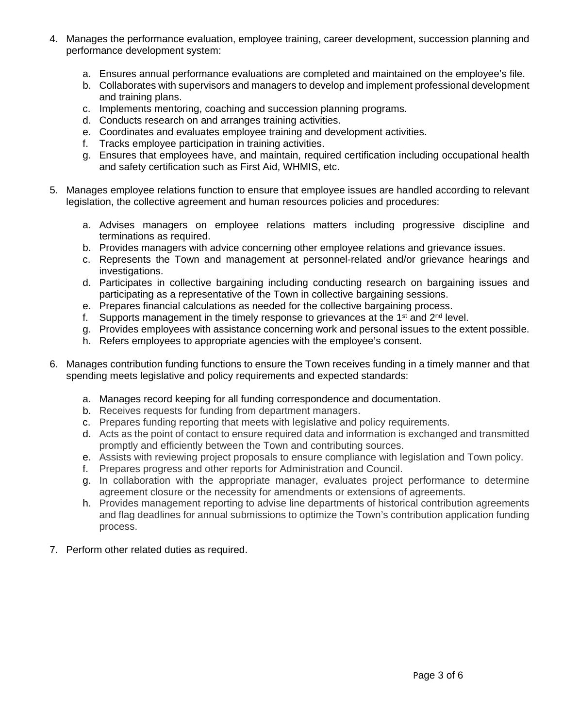- 4. Manages the performance evaluation, employee training, career development, succession planning and performance development system:
	- a. Ensures annual performance evaluations are completed and maintained on the employee's file.
	- b. Collaborates with supervisors and managers to develop and implement professional development and training plans.
	- c. Implements mentoring, coaching and succession planning programs.
	- d. Conducts research on and arranges training activities.
	- e. Coordinates and evaluates employee training and development activities.
	- f. Tracks employee participation in training activities.
	- g. Ensures that employees have, and maintain, required certification including occupational health and safety certification such as First Aid, WHMIS, etc.
- 5. Manages employee relations function to ensure that employee issues are handled according to relevant legislation, the collective agreement and human resources policies and procedures:
	- a. Advises managers on employee relations matters including progressive discipline and terminations as required.
	- b. Provides managers with advice concerning other employee relations and grievance issues.
	- c. Represents the Town and management at personnel-related and/or grievance hearings and investigations.
	- d. Participates in collective bargaining including conducting research on bargaining issues and participating as a representative of the Town in collective bargaining sessions.
	- e. Prepares financial calculations as needed for the collective bargaining process.
	- f. Supports management in the timely response to grievances at the  $1<sup>st</sup>$  and  $2<sup>nd</sup>$  level.
	- g. Provides employees with assistance concerning work and personal issues to the extent possible.
	- h. Refers employees to appropriate agencies with the employee's consent.
- 6. Manages contribution funding functions to ensure the Town receives funding in a timely manner and that spending meets legislative and policy requirements and expected standards:
	- a. Manages record keeping for all funding correspondence and documentation.
	- b. Receives requests for funding from department managers.
	- c. Prepares funding reporting that meets with legislative and policy requirements.
	- d. Acts as the point of contact to ensure required data and information is exchanged and transmitted promptly and efficiently between the Town and contributing sources.
	- e. Assists with reviewing project proposals to ensure compliance with legislation and Town policy.
	- f. Prepares progress and other reports for Administration and Council.
	- g. In collaboration with the appropriate manager, evaluates project performance to determine agreement closure or the necessity for amendments or extensions of agreements.
	- h. Provides management reporting to advise line departments of historical contribution agreements and flag deadlines for annual submissions to optimize the Town's contribution application funding process.
- 7. Perform other related duties as required.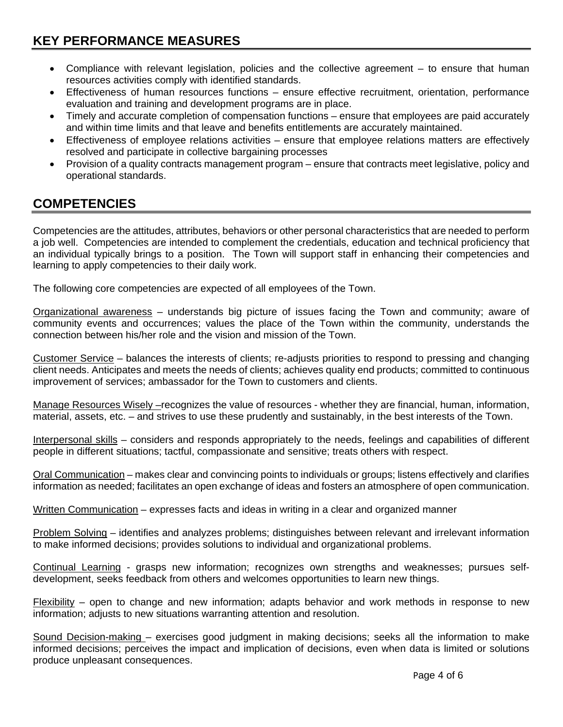- Compliance with relevant legislation, policies and the collective agreement to ensure that human resources activities comply with identified standards.
- Effectiveness of human resources functions ensure effective recruitment, orientation, performance evaluation and training and development programs are in place.
- Timely and accurate completion of compensation functions ensure that employees are paid accurately and within time limits and that leave and benefits entitlements are accurately maintained.
- Effectiveness of employee relations activities ensure that employee relations matters are effectively resolved and participate in collective bargaining processes
- Provision of a quality contracts management program ensure that contracts meet legislative, policy and operational standards.

# **COMPETENCIES**

Competencies are the attitudes, attributes, behaviors or other personal characteristics that are needed to perform a job well. Competencies are intended to complement the credentials, education and technical proficiency that an individual typically brings to a position. The Town will support staff in enhancing their competencies and learning to apply competencies to their daily work.

The following core competencies are expected of all employees of the Town.

Organizational awareness – understands big picture of issues facing the Town and community; aware of community events and occurrences; values the place of the Town within the community, understands the connection between his/her role and the vision and mission of the Town.

Customer Service – balances the interests of clients; re-adjusts priorities to respond to pressing and changing client needs. Anticipates and meets the needs of clients; achieves quality end products; committed to continuous improvement of services; ambassador for the Town to customers and clients.

Manage Resources Wisely –recognizes the value of resources - whether they are financial, human, information, material, assets, etc. – and strives to use these prudently and sustainably, in the best interests of the Town.

Interpersonal skills – considers and responds appropriately to the needs, feelings and capabilities of different people in different situations; tactful, compassionate and sensitive; treats others with respect.

Oral Communication – makes clear and convincing points to individuals or groups; listens effectively and clarifies information as needed; facilitates an open exchange of ideas and fosters an atmosphere of open communication.

Written Communication – expresses facts and ideas in writing in a clear and organized manner

Problem Solving – identifies and analyzes problems; distinguishes between relevant and irrelevant information to make informed decisions; provides solutions to individual and organizational problems.

Continual Learning - grasps new information; recognizes own strengths and weaknesses; pursues selfdevelopment, seeks feedback from others and welcomes opportunities to learn new things.

Flexibility – open to change and new information; adapts behavior and work methods in response to new information; adjusts to new situations warranting attention and resolution.

Sound Decision-making – exercises good judgment in making decisions; seeks all the information to make informed decisions; perceives the impact and implication of decisions, even when data is limited or solutions produce unpleasant consequences.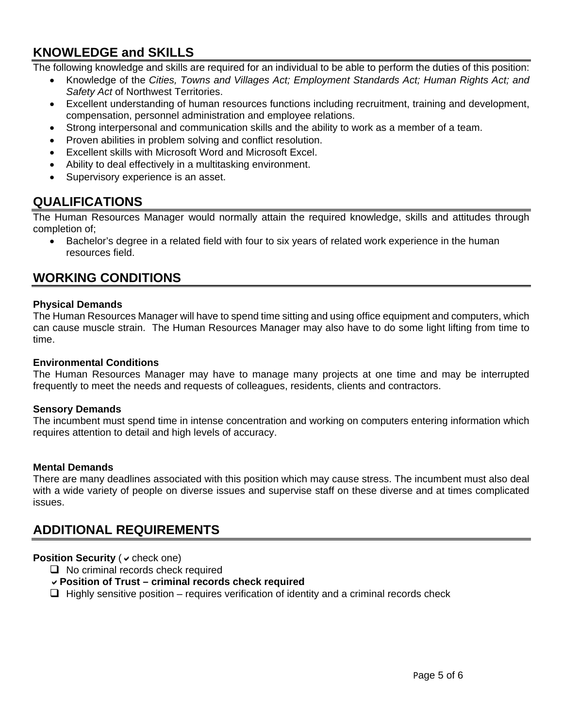# **KNOWLEDGE and SKILLS**

The following knowledge and skills are required for an individual to be able to perform the duties of this position:

- Knowledge of the *Cities, Towns and Villages Act; Employment Standards Act; Human Rights Act; and Safety Act* of Northwest Territories.
- Excellent understanding of human resources functions including recruitment, training and development, compensation, personnel administration and employee relations.
- Strong interpersonal and communication skills and the ability to work as a member of a team.
- Proven abilities in problem solving and conflict resolution.
- Excellent skills with Microsoft Word and Microsoft Excel.
- Ability to deal effectively in a multitasking environment.
- Supervisory experience is an asset.

### **QUALIFICATIONS**

The Human Resources Manager would normally attain the required knowledge, skills and attitudes through completion of;

• Bachelor's degree in a related field with four to six years of related work experience in the human resources field.

### **WORKING CONDITIONS**

### **Physical Demands**

The Human Resources Manager will have to spend time sitting and using office equipment and computers, which can cause muscle strain. The Human Resources Manager may also have to do some light lifting from time to time.

#### **Environmental Conditions**

The Human Resources Manager may have to manage many projects at one time and may be interrupted frequently to meet the needs and requests of colleagues, residents, clients and contractors.

### **Sensory Demands**

The incumbent must spend time in intense concentration and working on computers entering information which requires attention to detail and high levels of accuracy.

#### **Mental Demands**

There are many deadlines associated with this position which may cause stress. The incumbent must also deal with a wide variety of people on diverse issues and supervise staff on these diverse and at times complicated issues.

# **ADDITIONAL REQUIREMENTS**

### **Position Security (** $\vee$  **check one)**

 $\Box$  No criminal records check required

### **Position of Trust – criminal records check required**

 $\Box$  Highly sensitive position – requires verification of identity and a criminal records check